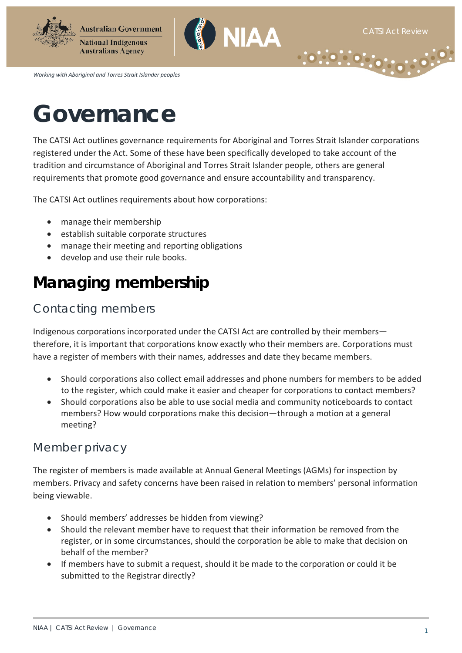$\cdot$  :  $\cdot$ 

 $(0, 0, 0, 0)$ 





*Working with Aboriginal and Torres Strait Islander peoples*

# **Governance**

The CATSI Act outlines governance requirements for Aboriginal and Torres Strait Islander corporations registered under the Act. Some of these have been specifically developed to take account of the tradition and circumstance of Aboriginal and Torres Strait Islander people, others are general requirements that promote good governance and ensure accountability and transparency.

The CATSI Act outlines requirements about how corporations:

- manage their membership
- establish suitable corporate structures
- manage their meeting and reporting obligations
- develop and use their rule books.

### **Managing membership**

#### Contacting members

Indigenous corporations incorporated under the CATSI Act are controlled by their members therefore, it is important that corporations know exactly who their members are. Corporations must have a register of members with their names, addresses and date they became members.

- Should corporations also collect email addresses and phone numbers for members to be added to the register, which could make it easier and cheaper for corporations to contact members?
- Should corporations also be able to use social media and community noticeboards to contact members? How would corporations make this decision—through a motion at a general meeting?

#### Member privacy

The register of members is made available at Annual General Meetings (AGMs) for inspection by members. Privacy and safety concerns have been raised in relation to members' personal information being viewable.

- Should members' addresses be hidden from viewing?
- Should the relevant member have to request that their information be removed from the register, or in some circumstances, should the corporation be able to make that decision on behalf of the member?
- If members have to submit a request, should it be made to the corporation or could it be submitted to the Registrar directly?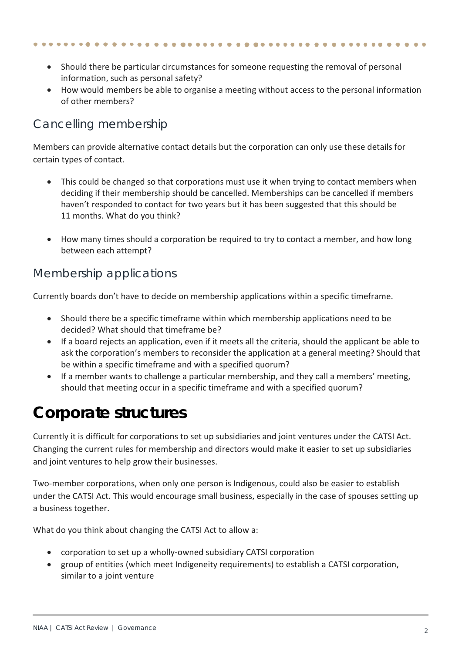- Should there be particular circumstances for someone requesting the removal of personal information, such as personal safety?
- How would members be able to organise a meeting without access to the personal information of other members?

#### Cancelling membership

Members can provide alternative contact details but the corporation can only use these details for certain types of contact.

- This could be changed so that corporations must use it when trying to contact members when deciding if their membership should be cancelled. Memberships can be cancelled if members haven't responded to contact for two years but it has been suggested that this should be 11 months. What do you think?
- How many times should a corporation be required to try to contact a member, and how long between each attempt?

#### Membership applications

Currently boards don't have to decide on membership applications within a specific timeframe.

- Should there be a specific timeframe within which membership applications need to be decided? What should that timeframe be?
- If a board rejects an application, even if it meets all the criteria, should the applicant be able to ask the corporation's members to reconsider the application at a general meeting? Should that be within a specific timeframe and with a specified quorum?
- If a member wants to challenge a particular membership, and they call a members' meeting, should that meeting occur in a specific timeframe and with a specified quorum?

### **Corporate structures**

Currently it is difficult for corporations to set up subsidiaries and joint ventures under the CATSI Act. Changing the current rules for membership and directors would make it easier to set up subsidiaries and joint ventures to help grow their businesses.

Two-member corporations, when only one person is Indigenous, could also be easier to establish under the CATSI Act. This would encourage small business, especially in the case of spouses setting up a business together.

What do you think about changing the CATSI Act to allow a:

- corporation to set up a wholly-owned subsidiary CATSI corporation
- group of entities (which meet Indigeneity requirements) to establish a CATSI corporation, similar to a joint venture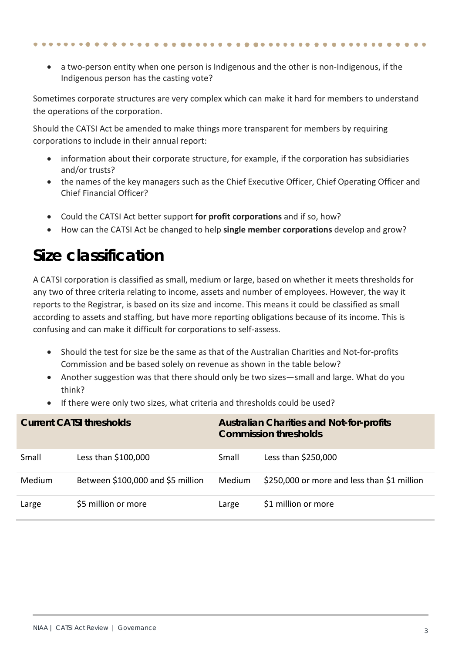• a two-person entity when one person is Indigenous and the other is non-Indigenous, if the Indigenous person has the casting vote?

Sometimes corporate structures are very complex which can make it hard for members to understand the operations of the corporation.

Should the CATSI Act be amended to make things more transparent for members by requiring corporations to include in their annual report:

- information about their corporate structure, for example, if the corporation has subsidiaries and/or trusts?
- the names of the key managers such as the Chief Executive Officer, Chief Operating Officer and Chief Financial Officer?
- Could the CATSI Act better support **for profit corporations** and if so, how?
- How can the CATSI Act be changed to help **single member corporations** develop and grow?

#### **Size classification**

A CATSI corporation is classified as small, medium or large, based on whether it meets thresholds for any two of three criteria relating to income, assets and number of employees. However, the way it reports to the Registrar, is based on its size and income. This means it could be classified as small according to assets and staffing, but have more reporting obligations because of its income. This is confusing and can make it difficult for corporations to self-assess.

- Should the test for size be the same as that of the Australian Charities and Not-for-profits Commission and be based solely on revenue as shown in the table below?
- Another suggestion was that there should only be two sizes—small and large. What do you think?
- If there were only two sizes, what criteria and thresholds could be used?

| <b>Current CATSI thresholds</b> |                                   | <b>Australian Charities and Not-for-profits</b><br><b>Commission thresholds</b> |                                             |
|---------------------------------|-----------------------------------|---------------------------------------------------------------------------------|---------------------------------------------|
| Small                           | Less than \$100,000               | Small                                                                           | Less than \$250,000                         |
| Medium                          | Between \$100,000 and \$5 million | <b>Medium</b>                                                                   | \$250,000 or more and less than \$1 million |
| Large                           | \$5 million or more               | Large                                                                           | \$1 million or more                         |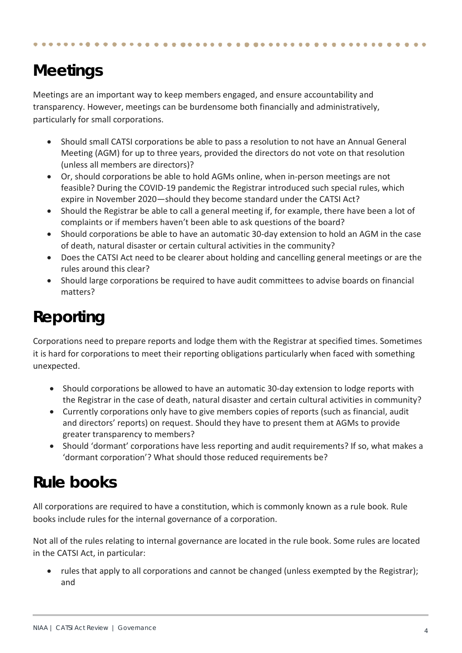## **Meetings**

Meetings are an important way to keep members engaged, and ensure accountability and transparency. However, meetings can be burdensome both financially and administratively, particularly for small corporations.

- Should small CATSI corporations be able to pass a resolution to not have an Annual General Meeting (AGM) for up to three years, provided the directors do not vote on that resolution (unless all members are directors)?
- Or, should corporations be able to hold AGMs online, when in-person meetings are not feasible? During the COVID-19 pandemic the Registrar introduced such special rules, which expire in November 2020—should they become standard under the CATSI Act?
- Should the Registrar be able to call a general meeting if, for example, there have been a lot of complaints or if members haven't been able to ask questions of the board?
- Should corporations be able to have an automatic 30-day extension to hold an AGM in the case of death, natural disaster or certain cultural activities in the community?
- Does the CATSI Act need to be clearer about holding and cancelling general meetings or are the rules around this clear?
- Should large corporations be required to have audit committees to advise boards on financial matters?

### **Reporting**

Corporations need to prepare reports and lodge them with the Registrar at specified times. Sometimes it is hard for corporations to meet their reporting obligations particularly when faced with something unexpected.

- Should corporations be allowed to have an automatic 30-day extension to lodge reports with the Registrar in the case of death, natural disaster and certain cultural activities in community?
- Currently corporations only have to give members copies of reports (such as financial, audit and directors' reports) on request. Should they have to present them at AGMs to provide greater transparency to members?
- Should 'dormant' corporations have less reporting and audit requirements? If so, what makes a 'dormant corporation'? What should those reduced requirements be?

#### **Rule books**

All corporations are required to have a constitution, which is commonly known as a rule book. Rule books include rules for the internal governance of a corporation.

Not all of the rules relating to internal governance are located in the rule book. Some rules are located in the CATSI Act, in particular:

• rules that apply to all corporations and cannot be changed (unless exempted by the Registrar); and